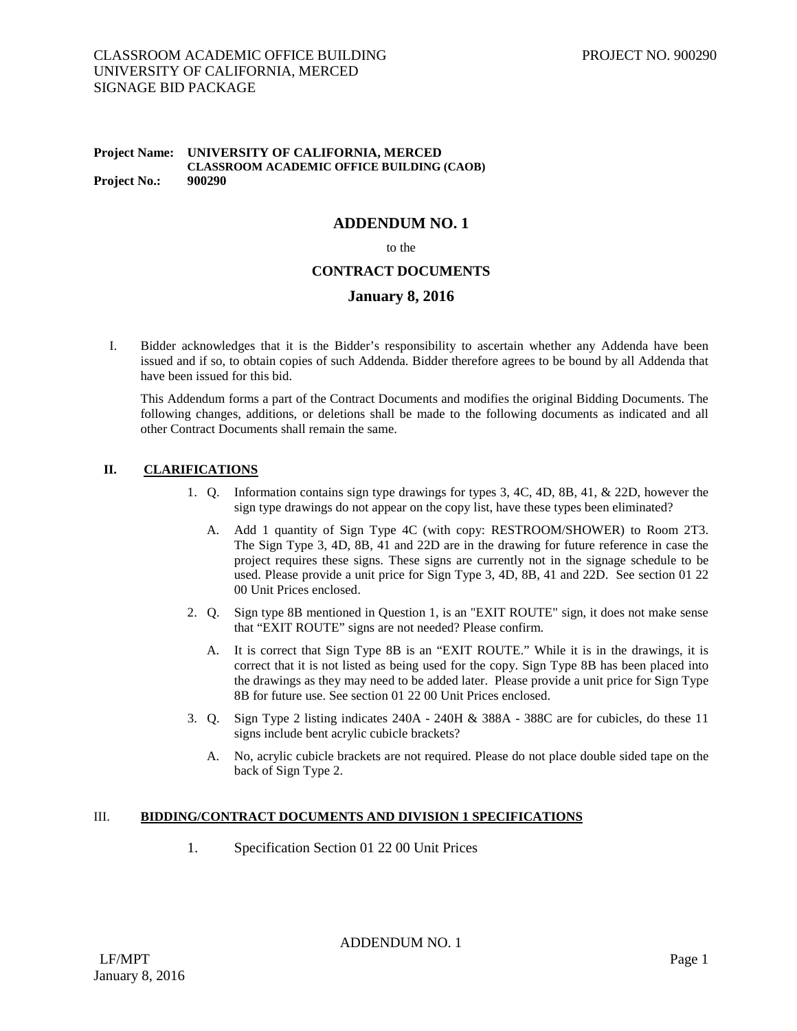#### **Project Name: UNIVERSITY OF CALIFORNIA, MERCED CLASSROOM ACADEMIC OFFICE BUILDING (CAOB) Project No.: 900290**

# **ADDENDUM NO. 1**

to the

## **CONTRACT DOCUMENTS**

# **January 8, 2016**

I. Bidder acknowledges that it is the Bidder's responsibility to ascertain whether any Addenda have been issued and if so, to obtain copies of such Addenda. Bidder therefore agrees to be bound by all Addenda that have been issued for this bid.

This Addendum forms a part of the Contract Documents and modifies the original Bidding Documents. The following changes, additions, or deletions shall be made to the following documents as indicated and all other Contract Documents shall remain the same.

## **II. CLARIFICATIONS**

- 1. Q. Information contains sign type drawings for types 3, 4C, 4D, 8B, 41, & 22D, however the sign type drawings do not appear on the copy list, have these types been eliminated?
	- A. Add 1 quantity of Sign Type 4C (with copy: RESTROOM/SHOWER) to Room 2T3. The Sign Type 3, 4D, 8B, 41 and 22D are in the drawing for future reference in case the project requires these signs. These signs are currently not in the signage schedule to be used. Please provide a unit price for Sign Type 3, 4D, 8B, 41 and 22D. See section 01 22 00 Unit Prices enclosed.
- 2. Q. Sign type 8B mentioned in Question 1, is an "EXIT ROUTE" sign, it does not make sense that "EXIT ROUTE" signs are not needed? Please confirm.
	- A. It is correct that Sign Type 8B is an "EXIT ROUTE." While it is in the drawings, it is correct that it is not listed as being used for the copy. Sign Type 8B has been placed into the drawings as they may need to be added later. Please provide a unit price for Sign Type 8B for future use. See section 01 22 00 Unit Prices enclosed.
- 3. Q. Sign Type 2 listing indicates 240A 240H & 388A 388C are for cubicles, do these 11 signs include bent acrylic cubicle brackets?
	- A. No, acrylic cubicle brackets are not required. Please do not place double sided tape on the back of Sign Type 2.

# III. **BIDDING/CONTRACT DOCUMENTS AND DIVISION 1 SPECIFICATIONS**

1. Specification Section 01 22 00 Unit Prices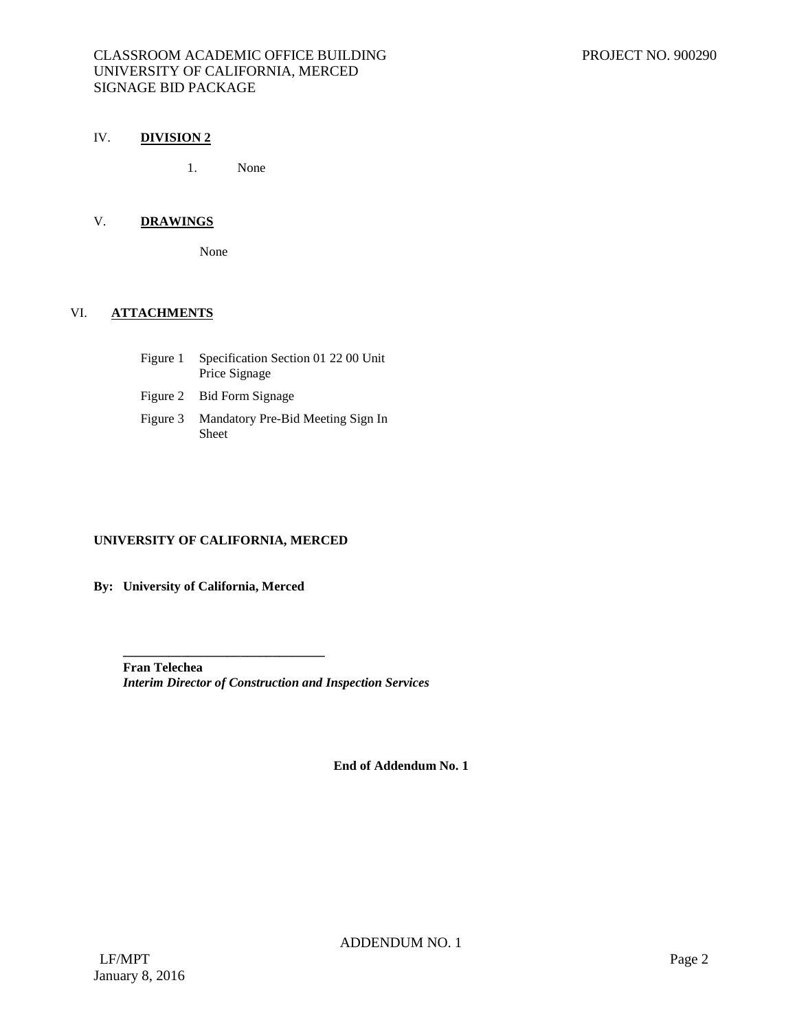# CLASSROOM ACADEMIC OFFICE BUILDING UNIVERSITY OF CALIFORNIA, MERCED SIGNAGE BID PACKAGE

# IV. **DIVISION 2**

1. None

# V. **DRAWINGS**

None

# VI. **ATTACHMENTS**

- Figure 1 Specification Section 01 22 00 Unit Price Signage
- Figure 2 Bid Form Signage
- Figure 3 Mandatory Pre-Bid Meeting Sign In Sheet

# **UNIVERSITY OF CALIFORNIA, MERCED**

**\_\_\_\_\_\_\_\_\_\_\_\_\_\_\_\_\_\_\_\_\_\_\_\_\_\_\_\_\_\_\_**

**By: University of California, Merced**

**Fran Telechea** *Interim Director of Construction and Inspection Services*

**End of Addendum No. 1**

ADDENDUM NO. 1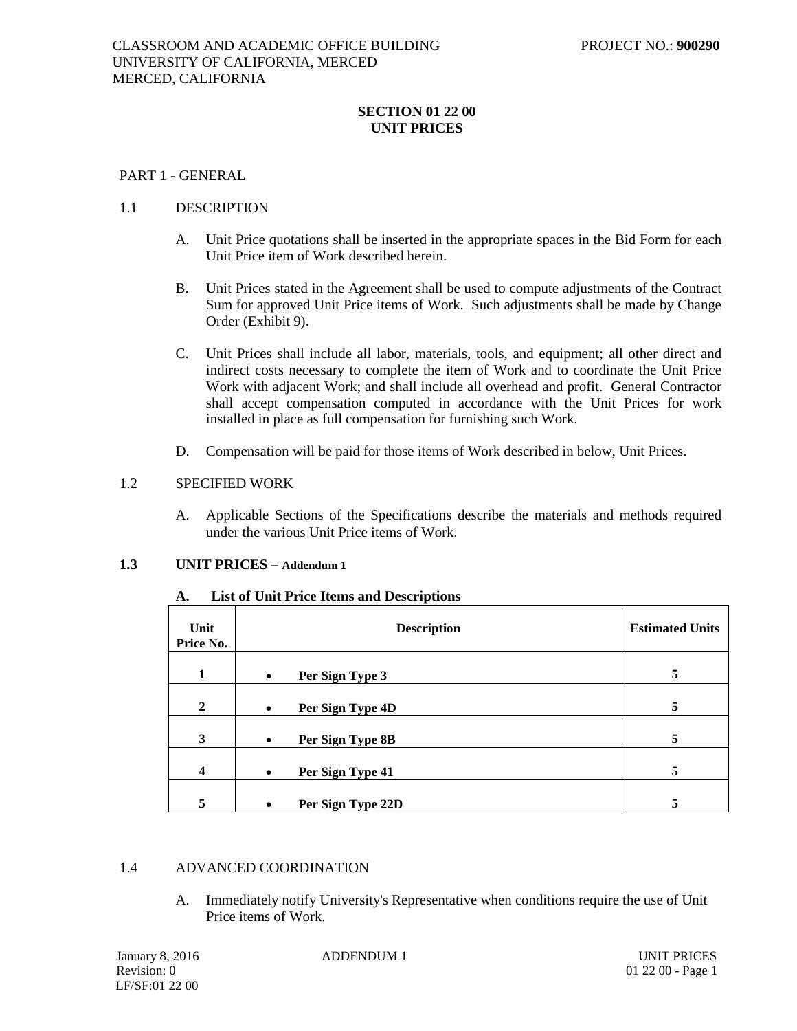# **SECTION 01 22 00 UNIT PRICES**

# PART 1 - GENERAL

# 1.1 DESCRIPTION

- A. Unit Price quotations shall be inserted in the appropriate spaces in the Bid Form for each Unit Price item of Work described herein.
- B. Unit Prices stated in the Agreement shall be used to compute adjustments of the Contract Sum for approved Unit Price items of Work. Such adjustments shall be made by Change Order (Exhibit 9).
- C. Unit Prices shall include all labor, materials, tools, and equipment; all other direct and indirect costs necessary to complete the item of Work and to coordinate the Unit Price Work with adjacent Work; and shall include all overhead and profit. General Contractor shall accept compensation computed in accordance with the Unit Prices for work installed in place as full compensation for furnishing such Work.
- D. Compensation will be paid for those items of Work described in below, Unit Prices.

# 1.2 SPECIFIED WORK

A. Applicable Sections of the Specifications describe the materials and methods required under the various Unit Price items of Work.

## **1.3 UNIT PRICES – Addendum 1**

| Unit<br>Price No. | <b>Description</b>             | <b>Estimated Units</b> |
|-------------------|--------------------------------|------------------------|
| 1                 | Per Sign Type 3<br>$\bullet$   | 5                      |
| $\overline{2}$    | Per Sign Type 4D<br>$\bullet$  | 5                      |
| 3                 | Per Sign Type 8B<br>$\bullet$  | 5                      |
| $\boldsymbol{4}$  | Per Sign Type 41<br>$\bullet$  | 5                      |
| 5                 | Per Sign Type 22D<br>$\bullet$ | 5                      |

# **A. List of Unit Price Items and Descriptions**

## 1.4 ADVANCED COORDINATION

A. Immediately notify University's Representative when conditions require the use of Unit Price items of Work.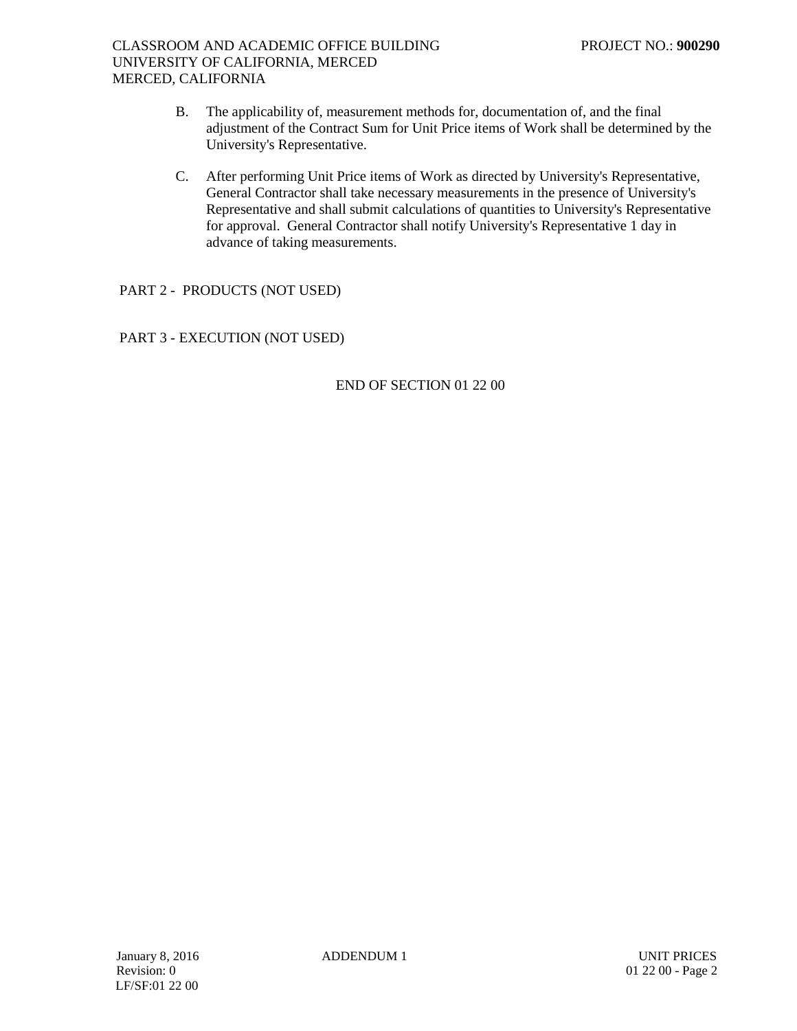- B. The applicability of, measurement methods for, documentation of, and the final adjustment of the Contract Sum for Unit Price items of Work shall be determined by the University's Representative.
- C. After performing Unit Price items of Work as directed by University's Representative, General Contractor shall take necessary measurements in the presence of University's Representative and shall submit calculations of quantities to University's Representative for approval. General Contractor shall notify University's Representative 1 day in advance of taking measurements.

PART 2 - PRODUCTS (NOT USED)

PART 3 - EXECUTION (NOT USED)

END OF SECTION 01 22 00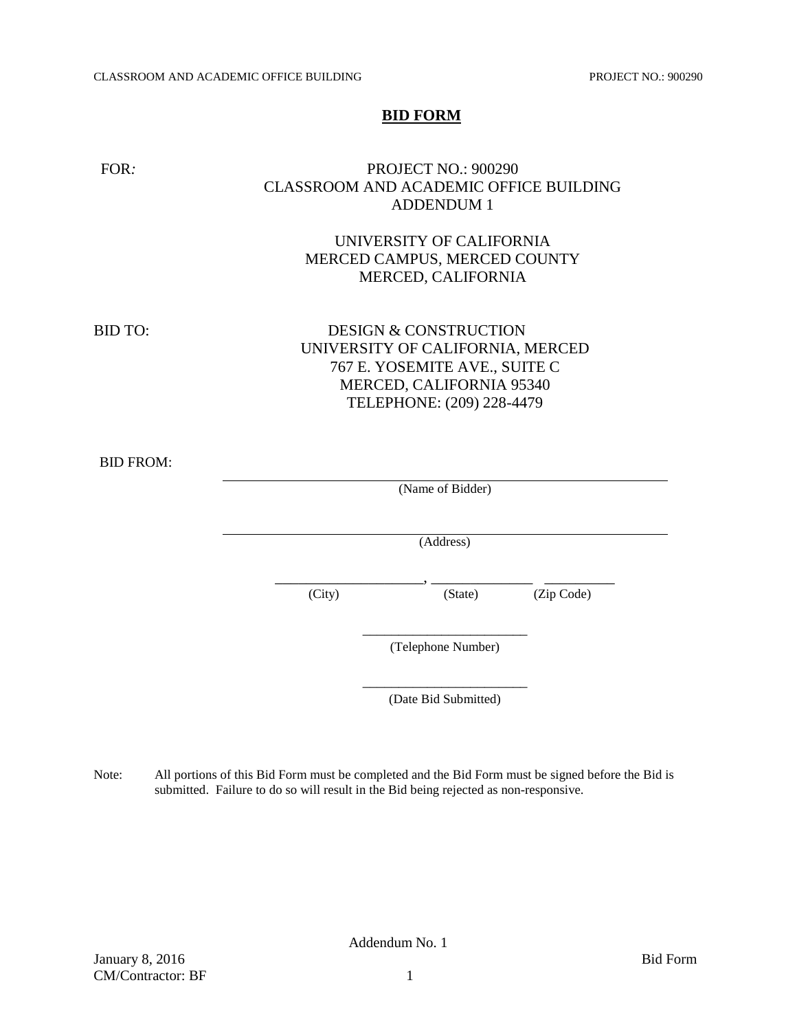# **BID FORM**

# FOR*:* PROJECT NO.: 900290 CLASSROOM AND ACADEMIC OFFICE BUILDING ADDENDUM 1

# UNIVERSITY OF CALIFORNIA MERCED CAMPUS, MERCED COUNTY MERCED, CALIFORNIA

# BID TO: DESIGN & CONSTRUCTION UNIVERSITY OF CALIFORNIA, MERCED 767 E. YOSEMITE AVE., SUITE C MERCED, CALIFORNIA 95340 TELEPHONE: (209) 228-4479

BID FROM:

(Name of Bidder) (Address) \_\_\_\_\_\_\_\_\_\_\_\_\_\_\_\_\_\_\_, \_\_\_\_\_\_\_\_\_\_\_\_\_ \_\_\_\_\_\_\_\_\_ (City) (State) (Zip Code) \_\_\_\_\_\_\_\_\_\_\_\_\_\_\_\_\_\_\_\_\_\_\_ (Telephone Number) \_\_\_\_\_\_\_\_\_\_\_\_\_\_\_\_\_\_\_\_\_\_\_

(Date Bid Submitted)

Note: All portions of this Bid Form must be completed and the Bid Form must be signed before the Bid is submitted. Failure to do so will result in the Bid being rejected as non-responsive.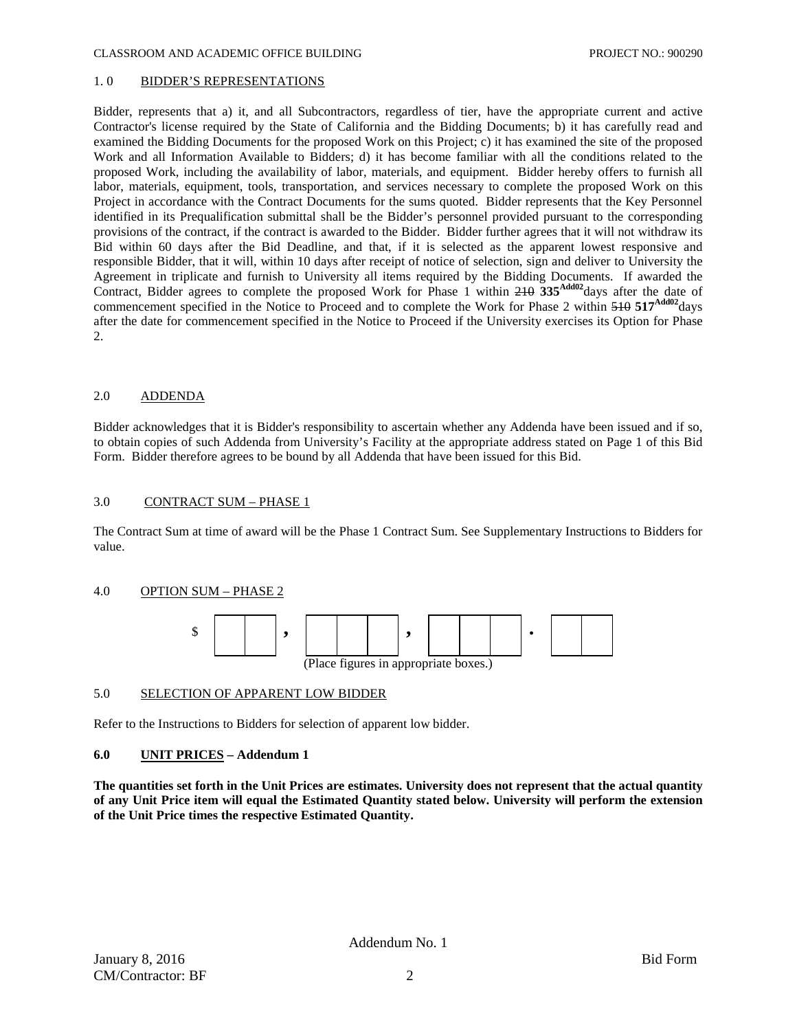## 1. 0 BIDDER'S REPRESENTATIONS

Bidder, represents that a) it, and all Subcontractors, regardless of tier, have the appropriate current and active Contractor's license required by the State of California and the Bidding Documents; b) it has carefully read and examined the Bidding Documents for the proposed Work on this Project; c) it has examined the site of the proposed Work and all Information Available to Bidders; d) it has become familiar with all the conditions related to the proposed Work, including the availability of labor, materials, and equipment. Bidder hereby offers to furnish all labor, materials, equipment, tools, transportation, and services necessary to complete the proposed Work on this Project in accordance with the Contract Documents for the sums quoted. Bidder represents that the Key Personnel identified in its Prequalification submittal shall be the Bidder's personnel provided pursuant to the corresponding provisions of the contract, if the contract is awarded to the Bidder. Bidder further agrees that it will not withdraw its Bid within 60 days after the Bid Deadline, and that, if it is selected as the apparent lowest responsive and responsible Bidder, that it will, within 10 days after receipt of notice of selection, sign and deliver to University the Agreement in triplicate and furnish to University all items required by the Bidding Documents. If awarded the Contract, Bidder agrees to complete the proposed Work for Phase 1 within 210 335<sup>Add02</sup> days after the date of commencement specified in the Notice to Proceed and to complete the Work for Phase 2 within 510 **517Add02** days after the date for commencement specified in the Notice to Proceed if the University exercises its Option for Phase 2.

## 2.0 ADDENDA

Bidder acknowledges that it is Bidder's responsibility to ascertain whether any Addenda have been issued and if so, to obtain copies of such Addenda from University's Facility at the appropriate address stated on Page 1 of this Bid Form. Bidder therefore agrees to be bound by all Addenda that have been issued for this Bid.

## 3.0 CONTRACT SUM – PHASE 1

The Contract Sum at time of award will be the Phase 1 Contract Sum. See Supplementary Instructions to Bidders for value.

## 4.0 OPTION SUM – PHASE 2



## 5.0 SELECTION OF APPARENT LOW BIDDER

Refer to the Instructions to Bidders for selection of apparent low bidder.

## **6.0 UNIT PRICES – Addendum 1**

**The quantities set forth in the Unit Prices are estimates. University does not represent that the actual quantity of any Unit Price item will equal the Estimated Quantity stated below. University will perform the extension of the Unit Price times the respective Estimated Quantity.**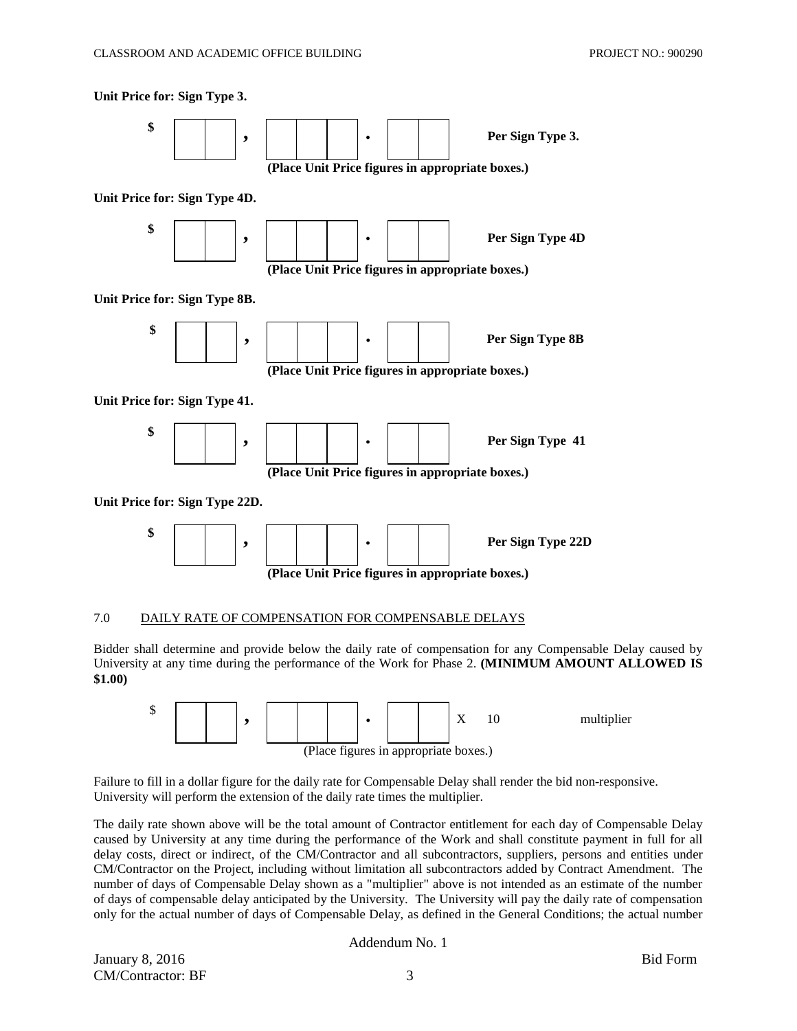#### CLASSROOM AND ACADEMIC OFFICE BUILDING PROJECT NO.: 900290



Bidder shall determine and provide below the daily rate of compensation for any Compensable Delay caused by University at any time during the performance of the Work for Phase 2. **(MINIMUM AMOUNT ALLOWED IS \$1.00)**



Failure to fill in a dollar figure for the daily rate for Compensable Delay shall render the bid non-responsive. University will perform the extension of the daily rate times the multiplier.

The daily rate shown above will be the total amount of Contractor entitlement for each day of Compensable Delay caused by University at any time during the performance of the Work and shall constitute payment in full for all delay costs, direct or indirect, of the CM/Contractor and all subcontractors, suppliers, persons and entities under CM/Contractor on the Project, including without limitation all subcontractors added by Contract Amendment. The number of days of Compensable Delay shown as a "multiplier" above is not intended as an estimate of the number of days of compensable delay anticipated by the University. The University will pay the daily rate of compensation only for the actual number of days of Compensable Delay, as defined in the General Conditions; the actual number

Addendum No. 1

| January 8, 2016          | <b>Bid Form</b> |
|--------------------------|-----------------|
| <b>CM/Contractor: BF</b> |                 |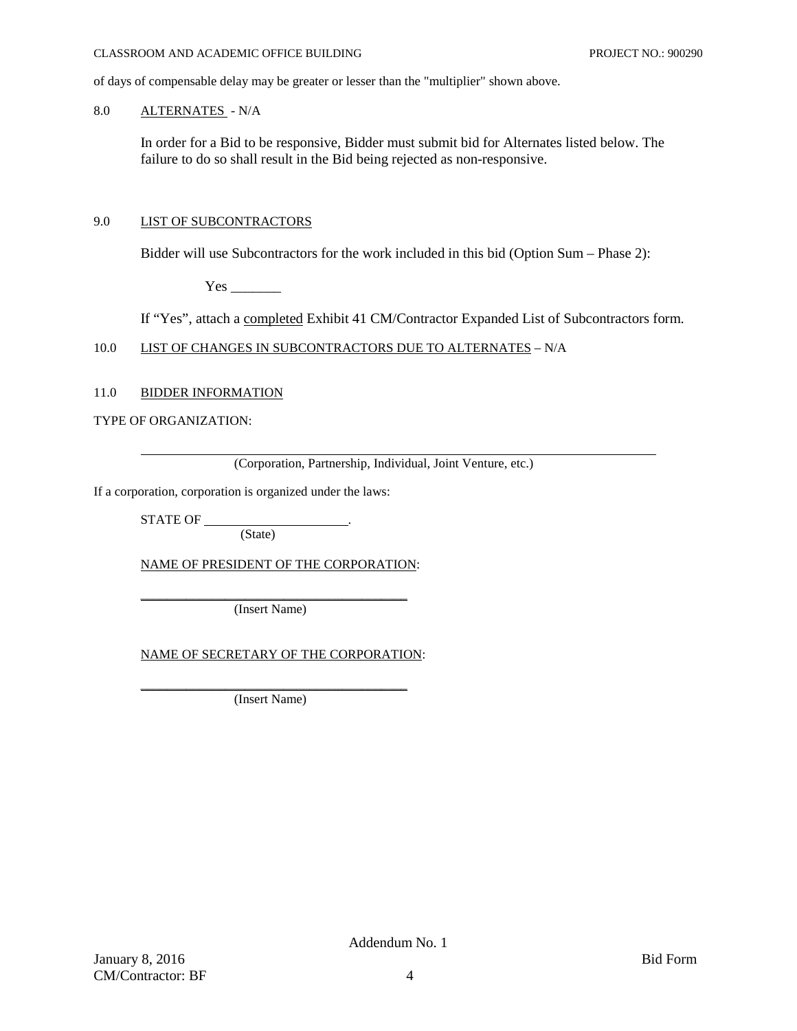## CLASSROOM AND ACADEMIC OFFICE BUILDING PROJECT NO.: 900290

of days of compensable delay may be greater or lesser than the "multiplier" shown above.

## 8.0 ALTERNATES - N/A

In order for a Bid to be responsive, Bidder must submit bid for Alternates listed below. The failure to do so shall result in the Bid being rejected as non-responsive.

# 9.0 LIST OF SUBCONTRACTORS

Bidder will use Subcontractors for the work included in this bid (Option Sum – Phase 2):

Yes \_\_\_\_\_\_\_

If "Yes", attach a completed Exhibit 41 CM/Contractor Expanded List of Subcontractors form.

# 10.0 LIST OF CHANGES IN SUBCONTRACTORS DUE TO ALTERNATES - N/A

# 11.0 BIDDER INFORMATION

TYPE OF ORGANIZATION:

(Corporation, Partnership, Individual, Joint Venture, etc.)

If a corporation, corporation is organized under the laws:

STATE OF .

(State)

NAME OF PRESIDENT OF THE CORPORATION:

\_\_\_\_\_\_\_\_\_\_\_\_\_\_\_\_\_\_\_\_\_\_\_\_\_\_\_\_\_\_\_\_\_\_\_\_\_\_\_\_\_ (Insert Name)

NAME OF SECRETARY OF THE CORPORATION:

\_\_\_\_\_\_\_\_\_\_\_\_\_\_\_\_\_\_\_\_\_\_\_\_\_\_\_\_\_\_\_\_\_\_\_\_\_\_\_\_\_ (Insert Name)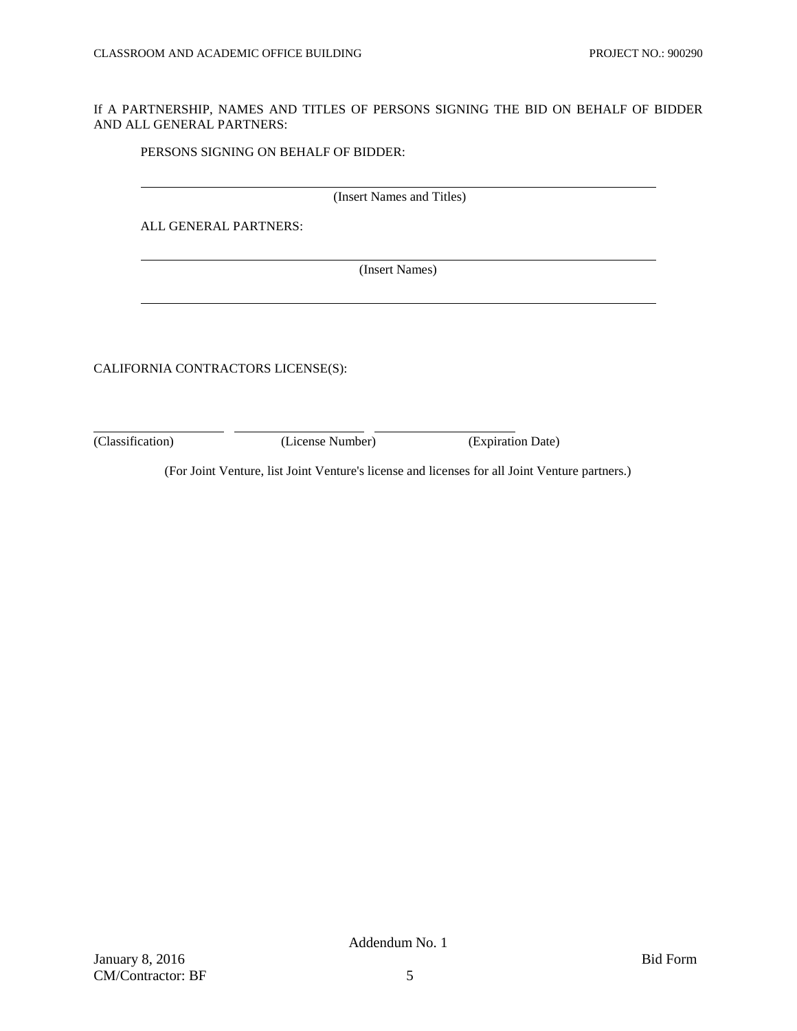# If A PARTNERSHIP, NAMES AND TITLES OF PERSONS SIGNING THE BID ON BEHALF OF BIDDER AND ALL GENERAL PARTNERS:

# PERSONS SIGNING ON BEHALF OF BIDDER:

(Insert Names and Titles)

ALL GENERAL PARTNERS:

(Insert Names)

CALIFORNIA CONTRACTORS LICENSE(S):

 $\overline{a}$ (Classification) (License Number) (Expiration Date)

(For Joint Venture, list Joint Venture's license and licenses for all Joint Venture partners.)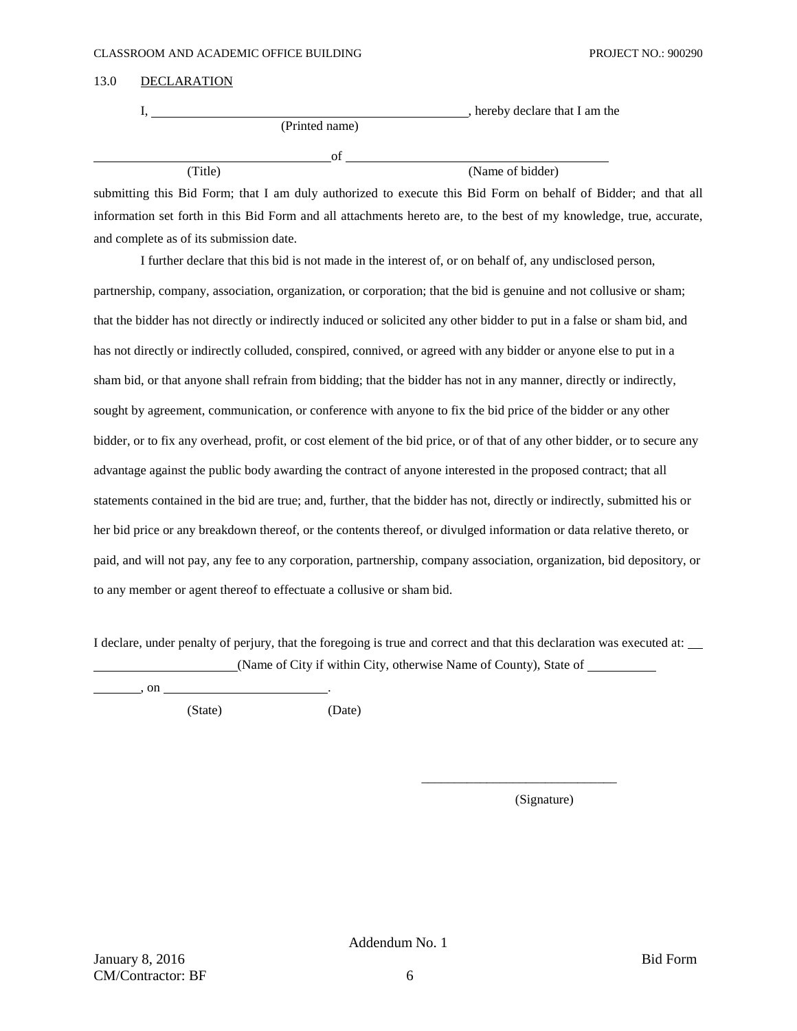# 13.0 DECLARATION

|                | , hereby declare that I am the |
|----------------|--------------------------------|
| (Printed name) |                                |
| ΩŤ             |                                |
| (Title)        | (Name of bidder)               |

submitting this Bid Form; that I am duly authorized to execute this Bid Form on behalf of Bidder; and that all information set forth in this Bid Form and all attachments hereto are, to the best of my knowledge, true, accurate, and complete as of its submission date.

I further declare that this bid is not made in the interest of, or on behalf of, any undisclosed person, partnership, company, association, organization, or corporation; that the bid is genuine and not collusive or sham; that the bidder has not directly or indirectly induced or solicited any other bidder to put in a false or sham bid, and has not directly or indirectly colluded, conspired, connived, or agreed with any bidder or anyone else to put in a sham bid, or that anyone shall refrain from bidding; that the bidder has not in any manner, directly or indirectly, sought by agreement, communication, or conference with anyone to fix the bid price of the bidder or any other bidder, or to fix any overhead, profit, or cost element of the bid price, or of that of any other bidder, or to secure any advantage against the public body awarding the contract of anyone interested in the proposed contract; that all statements contained in the bid are true; and, further, that the bidder has not, directly or indirectly, submitted his or her bid price or any breakdown thereof, or the contents thereof, or divulged information or data relative thereto, or paid, and will not pay, any fee to any corporation, partnership, company association, organization, bid depository, or to any member or agent thereof to effectuate a collusive or sham bid.

I declare, under penalty of perjury, that the foregoing is true and correct and that this declaration was executed at: (Name of City if within City, otherwise Name of County), State of

 $\frac{1}{\sqrt{2}}$ , on  $\frac{1}{\sqrt{2}}$ 

(State) (Date)

(Signature)

\_\_\_\_\_\_\_\_\_\_\_\_\_\_\_\_\_\_\_\_\_\_\_\_\_\_\_\_\_\_